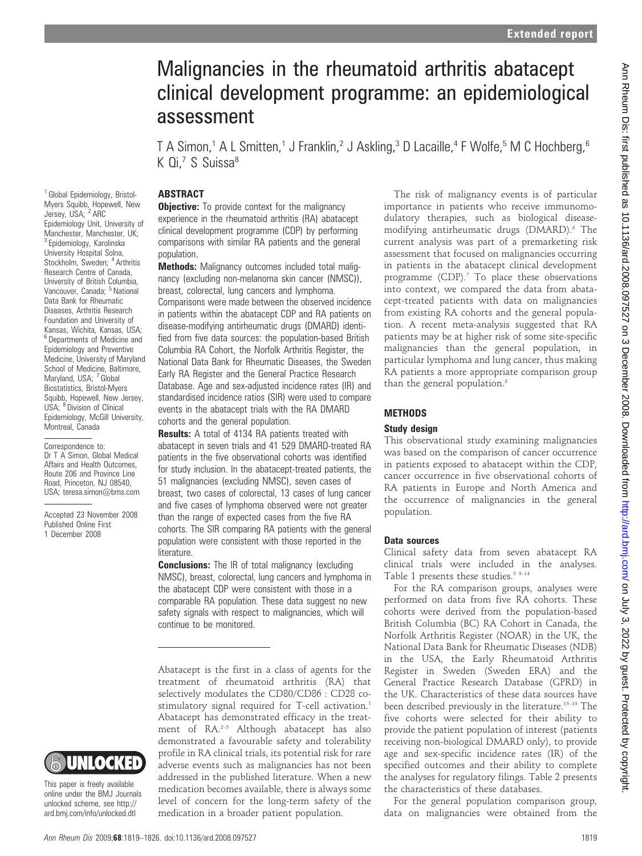# Malignancies in the rheumatoid arthritis abatacept clinical development programme: an epidemiological assessment

T A Simon,<sup>1</sup> A L Smitten,<sup>1</sup> J Franklin,<sup>2</sup> J Askling,<sup>3</sup> D Lacaille,<sup>4</sup> F Wolfe,<sup>5</sup> M C Hochberg,<sup>6</sup> K Qi,<sup>7</sup> S Suissa<sup>8</sup>

## **ABSTRACT**

**Objective:** To provide context for the malignancy experience in the rheumatoid arthritis (RA) abatacept clinical development programme (CDP) by performing comparisons with similar RA patients and the general population.

Methods: Malignancy outcomes included total malignancy (excluding non-melanoma skin cancer (NMSC)), breast, colorectal, lung cancers and lymphoma. Comparisons were made between the observed incidence in patients within the abatacept CDP and RA patients on disease-modifying antirheumatic drugs (DMARD) identified from five data sources: the population-based British Columbia RA Cohort, the Norfolk Arthritis Register, the National Data Bank for Rheumatic Diseases, the Sweden Early RA Register and the General Practice Research Database. Age and sex-adjusted incidence rates (IR) and standardised incidence ratios (SIR) were used to compare events in the abatacept trials with the RA DMARD cohorts and the general population.

**Results:** A total of 4134 RA patients treated with abatacept in seven trials and 41 529 DMARD-treated RA patients in the five observational cohorts was identified for study inclusion. In the abatacept-treated patients, the 51 malignancies (excluding NMSC), seven cases of breast, two cases of colorectal, 13 cases of lung cancer and five cases of lymphoma observed were not greater than the range of expected cases from the five RA cohorts. The SIR comparing RA patients with the general population were consistent with those reported in the literature.

**Conclusions:** The IR of total malignancy (excluding NMSC), breast, colorectal, lung cancers and lymphoma in the abatacept CDP were consistent with those in a comparable RA population. These data suggest no new safety signals with respect to malignancies, which will continue to be monitored.

Abatacept is the first in a class of agents for the treatment of rheumatoid arthritis (RA) that selectively modulates the CD80/CD86 : CD28 costimulatory signal required for T-cell activation.<sup>1</sup> Abatacept has demonstrated efficacy in the treatment of RA.<sup>2-5</sup> Although abatacept has also demonstrated a favourable safety and tolerability profile in RA clinical trials, its potential risk for rare adverse events such as malignancies has not been addressed in the published literature. When a new medication becomes available, there is always some level of concern for the long-term safety of the medication in a broader patient population.

The risk of malignancy events is of particular importance in patients who receive immunomodulatory therapies, such as biological diseasemodifying antirheumatic drugs (DMARD).<sup>6</sup> The current analysis was part of a premarketing risk assessment that focused on malignancies occurring in patients in the abatacept clinical development programme  $(CDP)$ .<sup>7</sup> To place these observations into context, we compared the data from abatacept-treated patients with data on malignancies from existing RA cohorts and the general population. A recent meta-analysis suggested that RA patients may be at higher risk of some site-specific malignancies than the general population, in particular lymphoma and lung cancer, thus making RA patients a more appropriate comparison group than the general population.<sup>8</sup>

## **METHODS**

#### Study design

This observational study examining malignancies was based on the comparison of cancer occurrence in patients exposed to abatacept within the CDP, cancer occurrence in five observational cohorts of RA patients in Europe and North America and the occurrence of malignancies in the general population.

## Data sources

Clinical safety data from seven abatacept RA clinical trials were included in the analyses. Table 1 presents these studies.<sup>3 9-14</sup>

For the RA comparison groups, analyses were performed on data from five RA cohorts. These cohorts were derived from the population-based British Columbia (BC) RA Cohort in Canada, the Norfolk Arthritis Register (NOAR) in the UK, the National Data Bank for Rheumatic Diseases (NDB) in the USA, the Early Rheumatoid Arthritis Register in Sweden (Sweden ERA) and the General Practice Research Database (GPRD) in the UK. Characteristics of these data sources have been described previously in the literature.<sup>15-19</sup> The five cohorts were selected for their ability to provide the patient population of interest (patients receiving non-biological DMARD only), to provide age and sex-specific incidence rates (IR) of the specified outcomes and their ability to complete the analyses for regulatory filings. Table 2 presents the characteristics of these databases.

For the general population comparison group, data on malignancies were obtained from the

<sup>1</sup> Global Epidemiology, Bristol-Myers Squibb, Hopewell, New Jersey, USA; <sup>2</sup> ARC Epidemiology Unit, University of Manchester, Manchester, UK; <sup>3</sup> Epidemiology, Karolinska University Hospital Solna, Stockholm, Sweden; <sup>4</sup> Arthritis Research Centre of Canada, University of British Columbia, Vancouver, Canada; <sup>5</sup> National Data Bank for Rheumatic Diseases, Arthritis Research Foundation and University of Kansas, Wichita, Kansas, USA; <sup>6</sup> Departments of Medicine and Epidemiology and Preventive Medicine, University of Maryland School of Medicine, Baltimore Maryland, USA; / Global Biostatistics, Bristol-Myers Squibb, Hopewell, New Jersey, USA; <sup>8</sup> Division of Clinical Epidemiology, McGill University, Montreal, Canada

Accepted 23 November 2008 Published Online First 1 December 2008



This paper is freely available online under the BMJ Journals unlocked scheme, see http:// ard.bmj.com/info/unlocked.dtl

Correspondence to: Dr T A Simon, Global Medical Affairs and Health Outcomes, Route 206 and Province Line Road, Princeton, NJ 08540, USA; teresa.simon@bms.com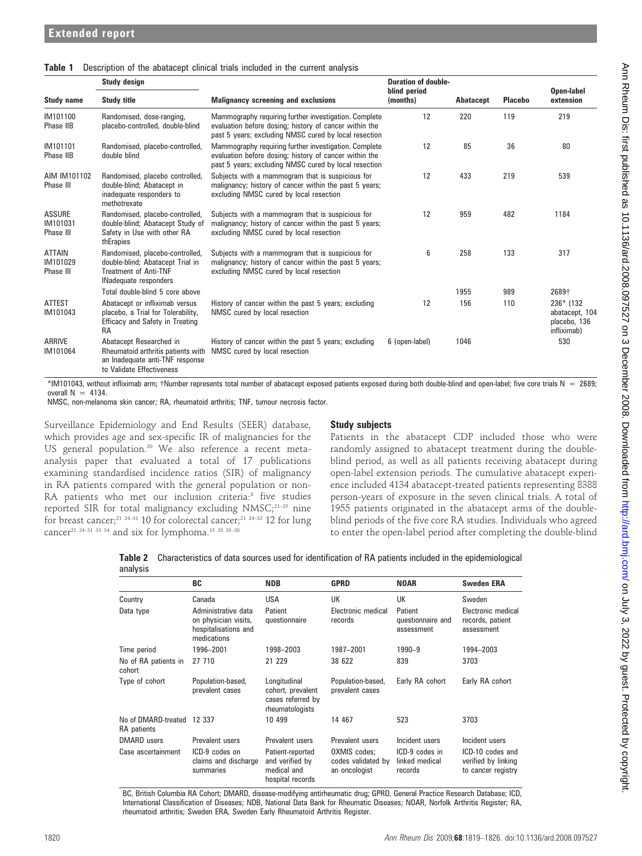|                                        | <b>Study design</b>                                                                                                           |                                                                                                                                                                          | <b>Duration of double-</b> |           |                |                                                            |
|----------------------------------------|-------------------------------------------------------------------------------------------------------------------------------|--------------------------------------------------------------------------------------------------------------------------------------------------------------------------|----------------------------|-----------|----------------|------------------------------------------------------------|
| <b>Study name</b>                      | <b>Study title</b>                                                                                                            | <b>Malignancy screening and exclusions</b>                                                                                                                               | blind period<br>(months)   | Abatacept | <b>Placebo</b> | Open-label<br>extension                                    |
| IM101100<br>Phase IIB                  | Randomised, dose-ranging,<br>placebo-controlled, double-blind                                                                 | Mammography requiring further investigation. Complete<br>evaluation before dosing; history of cancer within the<br>past 5 years; excluding NMSC cured by local resection | 12                         | 220       | 119            | 219                                                        |
| IM101101<br>Phase IIB                  | Randomised, placebo-controlled,<br>double blind                                                                               | Mammography requiring further investigation. Complete<br>evaluation before dosing; history of cancer within the<br>past 5 years; excluding NMSC cured by local resection | 12                         | 85        | 36             | 80                                                         |
| AIM IM101102<br>Phase III              | Randomised, placebo controlled,<br>double-blind; Abatacept in<br>inadequate responders to<br>methotrexate                     | Subjects with a mammogram that is suspicious for<br>malignancy; history of cancer within the past 5 years;<br>excluding NMSC cured by local resection                    | 12                         | 433       | 219            | 539                                                        |
| <b>ASSURE</b><br>IM101031<br>Phase III | Randomised, placebo-controlled,<br>double-blind; Abatacept Study of<br>Safety in Use with other RA<br>thErapies               | Subjects with a mammogram that is suspicious for<br>malignancy; history of cancer within the past 5 years;<br>excluding NMSC cured by local resection                    | 12                         | 959       | 482            | 1184                                                       |
| <b>ATTAIN</b><br>IM101029<br>Phase III | Randomised, placebo-controlled,<br>double-blind; Abatacept Trial in<br><b>Treatment of Anti-TNF</b><br>INadequate responders  | Subjects with a mammogram that is suspicious for<br>malignancy; history of cancer within the past 5 years;<br>excluding NMSC cured by local resection                    | 6                          | 258       | 133            | 317                                                        |
|                                        | Total double-blind 5 core above                                                                                               |                                                                                                                                                                          |                            | 1955      | 989            | 2689+                                                      |
| <b>ATTEST</b><br>IM101043              | Abatacept or infliximab versus<br>placebo, a Trial for Tolerability,<br>Efficacy and Safety in Treating<br><b>RA</b>          | History of cancer within the past 5 years; excluding<br>NMSC cured by local resection                                                                                    | 12                         | 156       | 110            | 236* (132<br>abatacept, 104<br>placebo, 136<br>infliximab) |
| <b>ARRIVE</b><br>IM101064              | Abatacept Researched in<br>Rheumatoid arthritis patients with<br>an Inadequate anti-TNF response<br>to Validate Effectiveness | History of cancer within the past 5 years; excluding<br>NMSC cured by local resection                                                                                    | 6 (open-label)             | 1046      |                | 530                                                        |

#### Table 1 Description of the abatacept clinical trials included in the current analysis

\*IM101043, without infliximab arm; {Number represents total number of abatacept exposed patients exposed during both double-blind and open-label; five core trials N = 2689; overall  $N = 4134$ .

NMSC, non-melanoma skin cancer; RA, rheumatoid arthritis; TNF, tumour necrosis factor.

Surveillance Epidemiology and End Results (SEER) database, which provides age and sex-specific IR of malignancies for the US general population.<sup>20</sup> We also reference a recent metaanalysis paper that evaluated a total of 17 publications examining standardised incidence ratios (SIR) of malignancy in RA patients compared with the general population or non-RA patients who met our inclusion criteria:<sup>8</sup> five studies reported SIR for total malignancy excluding NMSC;<sup>21-25</sup> nine for breast cancer;<sup>21 24–31</sup> 10 for colorectal cancer;<sup>21 24–32</sup> 12 for lung cancer<sup>21 24–31 33 34</sup> and six for lymphoma.<sup>15 28 35–38</sup>

### Study subjects

Patients in the abatacept CDP included those who were randomly assigned to abatacept treatment during the doubleblind period, as well as all patients receiving abatacept during open-label extension periods. The cumulative abatacept experience included 4134 abatacept-treated patients representing 8388 person-years of exposure in the seven clinical trials. A total of 1955 patients originated in the abatacept arms of the doubleblind periods of the five core RA studies. Individuals who agreed to enter the open-label period after completing the double-blind

|          | <b>Table 2</b> Characteristics of data sources used for identification of RA patients included in the epidemiological |  |  |
|----------|-----------------------------------------------------------------------------------------------------------------------|--|--|
| analysis |                                                                                                                       |  |  |

|                                    | <b>BC</b>                                                                          | <b>NDB</b>                                                                | <b>GPRD</b>                                         | <b>NOAR</b>                                 | <b>Sweden ERA</b>                                             |
|------------------------------------|------------------------------------------------------------------------------------|---------------------------------------------------------------------------|-----------------------------------------------------|---------------------------------------------|---------------------------------------------------------------|
| Country                            | Canada                                                                             | <b>USA</b>                                                                | UK                                                  | UK                                          | Sweden                                                        |
| Data type                          | Administrative data<br>on physician visits,<br>hospitalisations and<br>medications | Patient<br>questionnaire                                                  | Electronic medical<br>records                       | Patient<br>questionnaire and<br>assessment  | Electronic medical<br>records, patient<br>assessment          |
| Time period                        | 1996-2001                                                                          | 1998-2003                                                                 | 1987-2001                                           | 1990-9                                      | 1994-2003                                                     |
| No of RA patients in<br>cohort     | 27 710                                                                             | 21 229                                                                    | 38 622                                              | 839                                         | 3703                                                          |
| Type of cohort                     | Population-based,<br>prevalent cases                                               | Longitudinal<br>cohort, prevalent<br>cases referred by<br>rheumatologists | Population-based,<br>prevalent cases                | Early RA cohort                             | Early RA cohort                                               |
| No of DMARD-treated<br>RA patients | 12 337                                                                             | 10 499                                                                    | 14 467                                              | 523                                         | 3703                                                          |
| <b>DMARD</b> users                 | Prevalent users                                                                    | Prevalent users                                                           | Prevalent users                                     | Incident users                              | Incident users                                                |
| Case ascertainment                 | ICD-9 codes on<br>claims and discharge<br>summaries                                | Patient-reported<br>and verified by<br>medical and<br>hospital records    | OXMIS codes:<br>codes validated by<br>an oncologist | ICD-9 codes in<br>linked medical<br>records | ICD-10 codes and<br>verified by linking<br>to cancer registry |

BC, British Columbia RA Cohort; DMARD, disease-modifying antirheumatic drug; GPRD, General Practice Research Database; ICD, International Classification of Diseases; NDB, National Data Bank for Rheumatic Diseases; NOAR, Norfolk Arthritis Register; RA, rheumatoid arthritis; Sweden ERA, Sweden Early Rheumatoid Arthritis Register.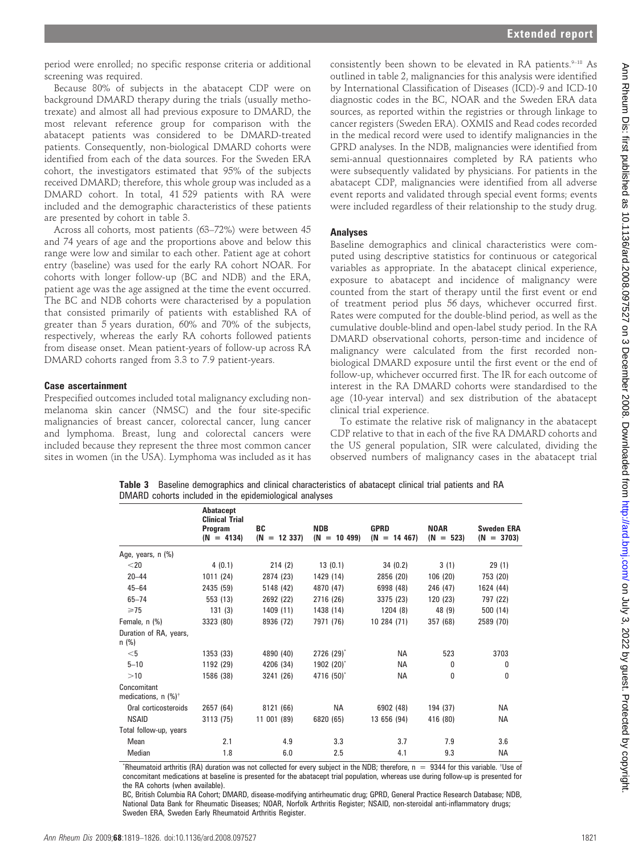period were enrolled; no specific response criteria or additional screening was required.

Because 80% of subjects in the abatacept CDP were on background DMARD therapy during the trials (usually methotrexate) and almost all had previous exposure to DMARD, the most relevant reference group for comparison with the abatacept patients was considered to be DMARD-treated patients. Consequently, non-biological DMARD cohorts were identified from each of the data sources. For the Sweden ERA cohort, the investigators estimated that 95% of the subjects received DMARD; therefore, this whole group was included as a DMARD cohort. In total, 41 529 patients with RA were included and the demographic characteristics of these patients are presented by cohort in table 3.

Across all cohorts, most patients (63–72%) were between 45 and 74 years of age and the proportions above and below this range were low and similar to each other. Patient age at cohort entry (baseline) was used for the early RA cohort NOAR. For cohorts with longer follow-up (BC and NDB) and the ERA, patient age was the age assigned at the time the event occurred. The BC and NDB cohorts were characterised by a population that consisted primarily of patients with established RA of greater than 5 years duration, 60% and 70% of the subjects, respectively, whereas the early RA cohorts followed patients from disease onset. Mean patient-years of follow-up across RA DMARD cohorts ranged from 3.3 to 7.9 patient-years.

#### Case ascertainment

Prespecified outcomes included total malignancy excluding nonmelanoma skin cancer (NMSC) and the four site-specific malignancies of breast cancer, colorectal cancer, lung cancer and lymphoma. Breast, lung and colorectal cancers were included because they represent the three most common cancer sites in women (in the USA). Lymphoma was included as it has

consistently been shown to be elevated in RA patients. $9-18$  As outlined in table 2, malignancies for this analysis were identified by International Classification of Diseases (ICD)-9 and ICD-10 diagnostic codes in the BC, NOAR and the Sweden ERA data sources, as reported within the registries or through linkage to cancer registers (Sweden ERA). OXMIS and Read codes recorded in the medical record were used to identify malignancies in the GPRD analyses. In the NDB, malignancies were identified from semi-annual questionnaires completed by RA patients who were subsequently validated by physicians. For patients in the abatacept CDP, malignancies were identified from all adverse event reports and validated through special event forms; events were included regardless of their relationship to the study drug.

#### Analyses

Baseline demographics and clinical characteristics were computed using descriptive statistics for continuous or categorical variables as appropriate. In the abatacept clinical experience, exposure to abatacept and incidence of malignancy were counted from the start of therapy until the first event or end of treatment period plus 56 days, whichever occurred first. Rates were computed for the double-blind period, as well as the cumulative double-blind and open-label study period. In the RA DMARD observational cohorts, person-time and incidence of malignancy were calculated from the first recorded nonbiological DMARD exposure until the first event or the end of follow-up, whichever occurred first. The IR for each outcome of interest in the RA DMARD cohorts were standardised to the age (10-year interval) and sex distribution of the abatacept clinical trial experience.

To estimate the relative risk of malignancy in the abatacept CDP relative to that in each of the five RA DMARD cohorts and the US general population, SIR were calculated, dividing the observed numbers of malignancy cases in the abatacept trial

Table 3 Baseline demographics and clinical characteristics of abatacept clinical trial patients and RA DMARD cohorts included in the epidemiological analyses

|                                                | <b>Abatacept</b><br><b>Clinical Trial</b><br><b>Program</b><br>$(N = 4134)$ | BC<br>$(N = 12337)$ | <b>NDB</b><br>$(N = 10 499)$ | <b>GPRD</b><br>$(N = 14467)$ | <b>NOAR</b><br>$(N = 523)$ | <b>Sweden ERA</b><br>$(N = 3703)$ |
|------------------------------------------------|-----------------------------------------------------------------------------|---------------------|------------------------------|------------------------------|----------------------------|-----------------------------------|
| Age, years, $n$ $%$                            |                                                                             |                     |                              |                              |                            |                                   |
| $<$ 20                                         | 4(0.1)                                                                      | 214(2)              | 13(0.1)                      | 34(0.2)                      | 3(1)                       | 29(1)                             |
| $20 - 44$                                      | 1011(24)                                                                    | 2874 (23)           | 1429 (14)                    | 2856 (20)                    | 106 (20)                   | 753 (20)                          |
| $45 - 64$                                      | 2435 (59)                                                                   | 5148 (42)           | 4870 (47)                    | 6998 (48)                    | 246 (47)                   | 1624 (44)                         |
| $65 - 74$                                      | 553 (13)                                                                    | 2692 (22)           | 2716 (26)                    | 3375 (23)                    | 120 (23)                   | 797 (22)                          |
| $\geq 75$                                      | 131(3)                                                                      | 1409 (11)           | 1438 (14)                    | 1204(8)                      | 48 (9)                     | 500 (14)                          |
| Female, n (%)                                  | 3323 (80)                                                                   | 8936 (72)           | 7971 (76)                    | 10 284 (71)                  | 357 (68)                   | 2589 (70)                         |
| Duration of RA, years,<br>$n$ (%)              |                                                                             |                     |                              |                              |                            |                                   |
| $<$ 5                                          | 1353 (33)                                                                   | 4890 (40)           | 2726 (29)*                   | <b>NA</b>                    | 523                        | 3703                              |
| $5 - 10$                                       | 1192 (29)                                                                   | 4206 (34)           | 1902 (20)*                   | <b>NA</b>                    | 0                          | $\mathbf{0}$                      |
| >10                                            | 1586 (38)                                                                   | 3241 (26)           | 4716 (50)*                   | ΝA                           | 0                          | 0                                 |
| Concomitant<br>medications, n $(\%)^{\dagger}$ |                                                                             |                     |                              |                              |                            |                                   |
| Oral corticosteroids                           | 2657 (64)                                                                   | 8121 (66)           | <b>NA</b>                    | 6902 (48)                    | 194 (37)                   | <b>NA</b>                         |
| <b>NSAID</b>                                   | 3113 (75)                                                                   | 11 001 (89)         | 6820 (65)                    | 13 656 (94)                  | 416 (80)                   | ΝA                                |
| Total follow-up, years                         |                                                                             |                     |                              |                              |                            |                                   |
| Mean                                           | 2.1                                                                         | 4.9                 | 3.3                          | 3.7                          | 7.9                        | 3.6                               |
| Median                                         | 1.8                                                                         | 6.0                 | 2.5                          | 4.1                          | 9.3                        | <b>NA</b>                         |

"Rheumatoid arthritis (RA) duration was not collected for every subject in the NDB; therefore, n = 9344 for this variable. \*Use of concomitant medications at baseline is presented for the abatacept trial population, whereas use during follow-up is presented for the RA cohorts (when available).

BC, British Columbia RA Cohort; DMARD, disease-modifying antirheumatic drug; GPRD, General Practice Research Database; NDB, National Data Bank for Rheumatic Diseases; NOAR, Norfolk Arthritis Register; NSAID, non-steroidal anti-inflammatory drugs; Sweden ERA, Sweden Early Rheumatoid Arthritis Register.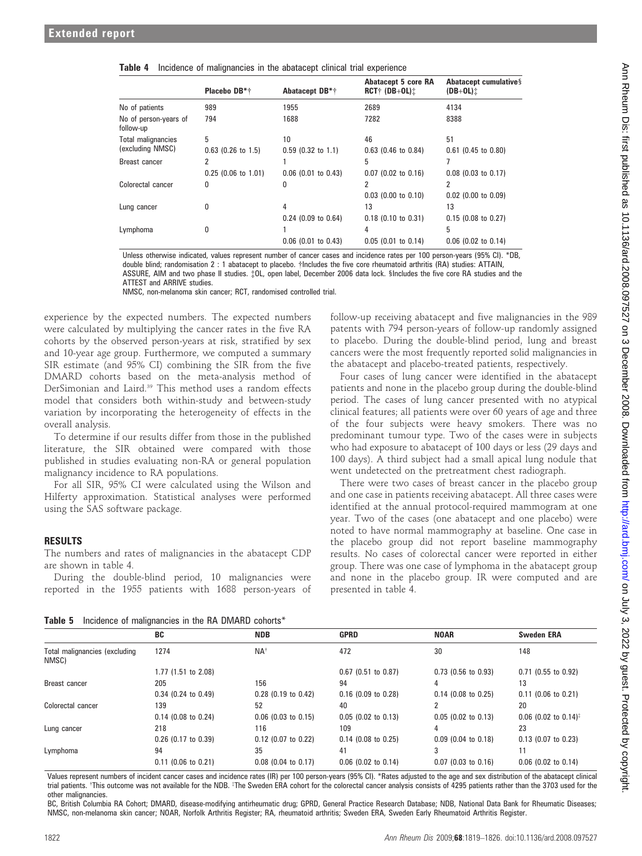|  |  |  | Table 4 Incidence of malignancies in the abatacept clinical trial experience |  |
|--|--|--|------------------------------------------------------------------------------|--|
|--|--|--|------------------------------------------------------------------------------|--|

|                                    | <b>Placebo DB*</b> †  | <b>Abatacept DB*</b> † | Abatacept 5 core RA<br>$RCT^+ (DB+OL)$ : | Abatacept cumulatives<br>$(DB+OL)$ : |
|------------------------------------|-----------------------|------------------------|------------------------------------------|--------------------------------------|
| No of patients                     | 989                   | 1955                   | 2689                                     | 4134                                 |
| No of person-years of<br>follow-up | 794                   | 1688                   | 7282                                     | 8388                                 |
| <b>Total malignancies</b>          | 5                     | 10                     | 46                                       | 51                                   |
| (excluding NMSC)                   | $0.63$ (0.26 to 1.5)  | $0.59$ (0.32 to 1.1)   | $0.63$ (0.46 to 0.84)                    | $0.61$ (0.45 to 0.80)                |
| Breast cancer                      | 2                     |                        | 5                                        |                                      |
|                                    | $0.25$ (0.06 to 1.01) | $0.06$ (0.01 to 0.43)  | $0.07$ (0.02 to 0.16)                    | $0.08$ (0.03 to 0.17)                |
| Colorectal cancer                  | 0                     | o                      | 2                                        | 2                                    |
|                                    |                       |                        | $0.03$ (0.00 to 0.10)                    | $0.02$ (0.00 to 0.09)                |
| Lung cancer                        | 0                     | 4                      | 13                                       | 13                                   |
|                                    |                       | $0.24$ (0.09 to 0.64)  | $0.18$ (0.10 to 0.31)                    | $0.15$ (0.08 to 0.27)                |
| Lymphoma                           | 0                     |                        | 4                                        | 5                                    |
|                                    |                       | $0.06$ (0.01 to 0.43)  | $0.05$ (0.01 to 0.14)                    | $0.06$ (0.02 to 0.14)                |

Unless otherwise indicated, values represent number of cancer cases and incidence rates per 100 person-years (95% CI). \*DB, double blind; randomisation 2 : 1 abatacept to placebo. †Includes the five core rheumatoid arthritis (RA) studies: ATTAIN, ASSURE, AIM and two phase II studies.  $\ddagger$ OL, open label, December 2006 data lock. Sincludes the five core RA studies and the ATTEST and ARRIVE studies.

NMSC, non-melanoma skin cancer; RCT, randomised controlled trial.

experience by the expected numbers. The expected numbers were calculated by multiplying the cancer rates in the five RA cohorts by the observed person-years at risk, stratified by sex and 10-year age group. Furthermore, we computed a summary SIR estimate (and 95% CI) combining the SIR from the five DMARD cohorts based on the meta-analysis method of DerSimonian and Laird.39 This method uses a random effects model that considers both within-study and between-study variation by incorporating the heterogeneity of effects in the overall analysis.

To determine if our results differ from those in the published literature, the SIR obtained were compared with those published in studies evaluating non-RA or general population malignancy incidence to RA populations.

For all SIR, 95% CI were calculated using the Wilson and Hilferty approximation. Statistical analyses were performed using the SAS software package.

#### RESULTS

The numbers and rates of malignancies in the abatacept CDP are shown in table 4.

During the double-blind period, 10 malignancies were reported in the 1955 patients with 1688 person-years of follow-up receiving abatacept and five malignancies in the 989 patents with 794 person-years of follow-up randomly assigned to placebo. During the double-blind period, lung and breast cancers were the most frequently reported solid malignancies in the abatacept and placebo-treated patients, respectively.

Four cases of lung cancer were identified in the abatacept patients and none in the placebo group during the double-blind period. The cases of lung cancer presented with no atypical clinical features; all patients were over 60 years of age and three of the four subjects were heavy smokers. There was no predominant tumour type. Two of the cases were in subjects who had exposure to abatacept of 100 days or less (29 days and 100 days). A third subject had a small apical lung nodule that went undetected on the pretreatment chest radiograph.

There were two cases of breast cancer in the placebo group and one case in patients receiving abatacept. All three cases were identified at the annual protocol-required mammogram at one year. Two of the cases (one abatacept and one placebo) were noted to have normal mammography at baseline. One case in the placebo group did not report baseline mammography results. No cases of colorectal cancer were reported in either group. There was one case of lymphoma in the abatacept group and none in the placebo group. IR were computed and are presented in table 4.

Table 5 Incidence of malignancies in the RA DMARD cohorts\*

|                                        | BC                    | <b>NDB</b>            | <b>GPRD</b>           | <b>NOAR</b>           | <b>Sweden ERA</b>                                      |
|----------------------------------------|-----------------------|-----------------------|-----------------------|-----------------------|--------------------------------------------------------|
| Total malignancies (excluding<br>NMSC) | 1274                  | NA <sup>+</sup>       | 472                   | 30                    | 148                                                    |
|                                        | 1.77 (1.51 to 2.08)   |                       | $0.67$ (0.51 to 0.87) | $0.73$ (0.56 to 0.93) | $0.71$ (0.55 to 0.92)                                  |
| Breast cancer                          | 205                   | 156                   | 94                    | 4                     | 13                                                     |
|                                        | $0.34$ (0.24 to 0.49) | $0.28$ (0.19 to 0.42) | $0.16$ (0.09 to 0.28) | $0.14$ (0.08 to 0.25) | $0.11$ (0.06 to 0.21)                                  |
| Colorectal cancer                      | 139                   | 52                    | 40                    |                       | 20                                                     |
|                                        | $0.14$ (0.08 to 0.24) | $0.06$ (0.03 to 0.15) | $0.05$ (0.02 to 0.13) | $0.05$ (0.02 to 0.13) | $0.06$ (0.02 to 0.14) <sup><math>\ddagger</math></sup> |
| Lung cancer                            | 218                   | 116                   | 109                   | 4                     | 23                                                     |
|                                        | $0.26$ (0.17 to 0.39) | $0.12$ (0.07 to 0.22) | $0.14$ (0.08 to 0.25) | $0.09$ (0.04 to 0.18) | $0.13$ (0.07 to 0.23)                                  |
| Lymphoma                               | 94                    | 35                    | 41                    |                       |                                                        |
|                                        | $0.11$ (0.06 to 0.21) | $0.08$ (0.04 to 0.17) | $0.06$ (0.02 to 0.14) | $0.07$ (0.03 to 0.16) | $0.06$ (0.02 to 0.14)                                  |

Values represent numbers of incident cancer cases and incidence rates (IR) per 100 person-years (95% CI). \*Rates adjusted to the age and sex distribution of the abatacept clinical trial patients. \*This outcome was not available for the NDB. ‡The Sweden ERA cohort for the colorectal cancer analysis consists of 4295 patients rather than the 3703 used for the other malignancies.

BC, British Columbia RA Cohort; DMARD, disease-modifying antirheumatic drug; GPRD, General Practice Research Database; NDB, National Data Bank for Rheumatic Diseases; NMSC, non-melanoma skin cancer; NOAR, Norfolk Arthritis Register; RA, rheumatoid arthritis; Sweden ERA, Sweden Early Rheumatoid Arthritis Register.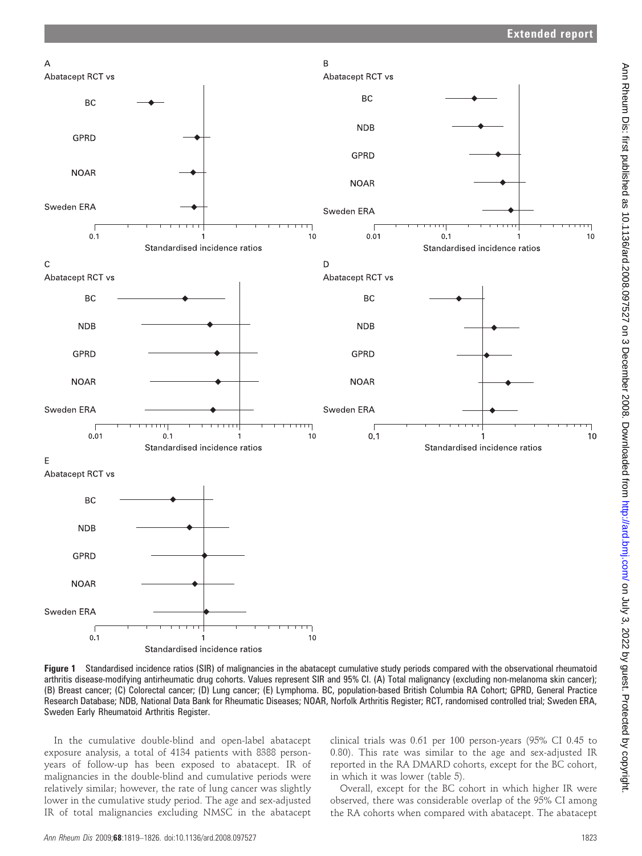# Extended report



Figure 1 Standardised incidence ratios (SIR) of malignancies in the abatacept cumulative study periods compared with the observational rheumatoid arthritis disease-modifying antirheumatic drug cohorts. Values represent SIR and 95% CI. (A) Total malignancy (excluding non-melanoma skin cancer); (B) Breast cancer; (C) Colorectal cancer; (D) Lung cancer; (E) Lymphoma. BC, population-based British Columbia RA Cohort; GPRD, General Practice Research Database; NDB, National Data Bank for Rheumatic Diseases; NOAR, Norfolk Arthritis Register; RCT, randomised controlled trial; Sweden ERA, Sweden Early Rheumatoid Arthritis Register.

In the cumulative double-blind and open-label abatacept exposure analysis, a total of 4134 patients with 8388 personyears of follow-up has been exposed to abatacept. IR of malignancies in the double-blind and cumulative periods were relatively similar; however, the rate of lung cancer was slightly lower in the cumulative study period. The age and sex-adjusted IR of total malignancies excluding NMSC in the abatacept

clinical trials was 0.61 per 100 person-years (95% CI 0.45 to 0.80). This rate was similar to the age and sex-adjusted IR reported in the RA DMARD cohorts, except for the BC cohort, in which it was lower (table 5).

Overall, except for the BC cohort in which higher IR were observed, there was considerable overlap of the 95% CI among the RA cohorts when compared with abatacept. The abatacept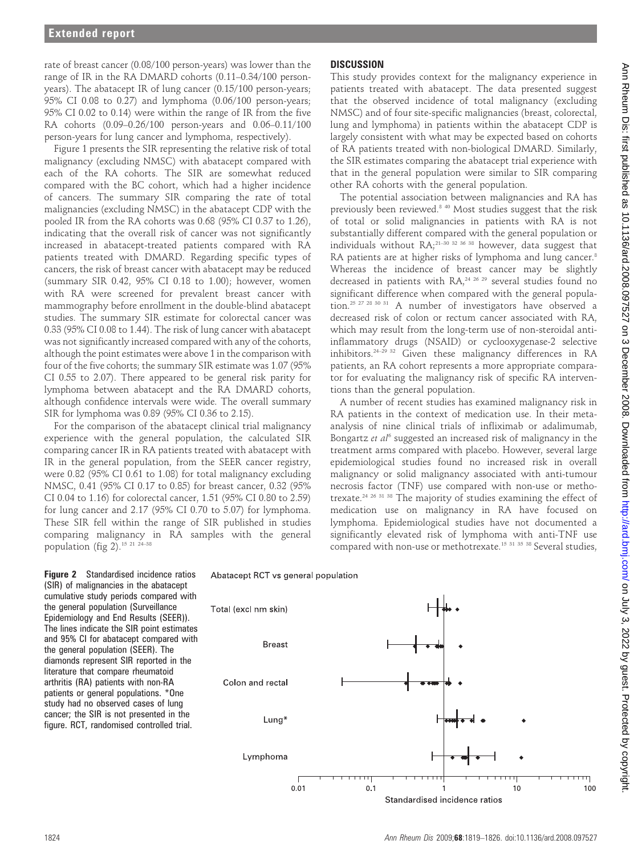rate of breast cancer (0.08/100 person-years) was lower than the range of IR in the RA DMARD cohorts (0.11–0.34/100 personyears). The abatacept IR of lung cancer (0.15/100 person-years; 95% CI 0.08 to 0.27) and lymphoma (0.06/100 person-years; 95% CI 0.02 to 0.14) were within the range of IR from the five RA cohorts (0.09–0.26/100 person-years and 0.06–0.11/100 person-years for lung cancer and lymphoma, respectively).

Figure 1 presents the SIR representing the relative risk of total malignancy (excluding NMSC) with abatacept compared with each of the RA cohorts. The SIR are somewhat reduced compared with the BC cohort, which had a higher incidence of cancers. The summary SIR comparing the rate of total malignancies (excluding NMSC) in the abatacept CDP with the pooled IR from the RA cohorts was 0.68 (95% CI 0.37 to 1.26), indicating that the overall risk of cancer was not significantly increased in abatacept-treated patients compared with RA patients treated with DMARD. Regarding specific types of cancers, the risk of breast cancer with abatacept may be reduced (summary SIR 0.42, 95% CI 0.18 to 1.00); however, women with RA were screened for prevalent breast cancer with mammography before enrollment in the double-blind abatacept studies. The summary SIR estimate for colorectal cancer was 0.33 (95% CI 0.08 to 1.44). The risk of lung cancer with abatacept was not significantly increased compared with any of the cohorts, although the point estimates were above 1 in the comparison with four of the five cohorts; the summary SIR estimate was 1.07 (95% CI 0.55 to 2.07). There appeared to be general risk parity for lymphoma between abatacept and the RA DMARD cohorts, although confidence intervals were wide. The overall summary SIR for lymphoma was 0.89 (95% CI 0.36 to 2.15).

For the comparison of the abatacept clinical trial malignancy experience with the general population, the calculated SIR comparing cancer IR in RA patients treated with abatacept with IR in the general population, from the SEER cancer registry, were 0.82 (95% CI 0.61 to 1.08) for total malignancy excluding NMSC, 0.41 (95% CI 0.17 to 0.85) for breast cancer, 0.32 (95% CI 0.04 to 1.16) for colorectal cancer, 1.51 (95% CI 0.80 to 2.59) for lung cancer and 2.17 (95% CI 0.70 to 5.07) for lymphoma. These SIR fell within the range of SIR published in studies comparing malignancy in RA samples with the general population (fig 2).<sup>15 21 24-38</sup>

# **DISCUSSION**

This study provides context for the malignancy experience in patients treated with abatacept. The data presented suggest that the observed incidence of total malignancy (excluding NMSC) and of four site-specific malignancies (breast, colorectal, lung and lymphoma) in patients within the abatacept CDP is largely consistent with what may be expected based on cohorts of RA patients treated with non-biological DMARD. Similarly, the SIR estimates comparing the abatacept trial experience with that in the general population were similar to SIR comparing other RA cohorts with the general population.

The potential association between malignancies and RA has previously been reviewed.8 40 Most studies suggest that the risk of total or solid malignancies in patients with RA is not substantially different compared with the general population or individuals without RA;21–30 32 36 38 however, data suggest that RA patients are at higher risks of lymphoma and lung cancer.<sup>8</sup> Whereas the incidence of breast cancer may be slightly decreased in patients with RA,<sup>24,26,29</sup> several studies found no significant difference when compared with the general population.25 27 28 30 31 A number of investigators have observed a decreased risk of colon or rectum cancer associated with RA, which may result from the long-term use of non-steroidal antiinflammatory drugs (NSAID) or cyclooxygenase-2 selective inhibitors.24–29 32 Given these malignancy differences in RA patients, an RA cohort represents a more appropriate comparator for evaluating the malignancy risk of specific RA interventions than the general population.

A number of recent studies has examined malignancy risk in RA patients in the context of medication use. In their metaanalysis of nine clinical trials of infliximab or adalimumab, Bongartz et  $a^{16}$  suggested an increased risk of malignancy in the treatment arms compared with placebo. However, several large epidemiological studies found no increased risk in overall malignancy or solid malignancy associated with anti-tumour necrosis factor (TNF) use compared with non-use or methotrexate.24 26 31 38 The majority of studies examining the effect of medication use on malignancy in RA have focused on lymphoma. Epidemiological studies have not documented a significantly elevated risk of lymphoma with anti-TNF use compared with non-use or methotrexate.15 31 35 38 Several studies,

**Figure 2** Standardised incidence ratios (SIR) of malignancies in the abatacept cumulative study periods compared with the general population (Surveillance Epidemiology and End Results (SEER)). The lines indicate the SIR point estimates and 95% CI for abatacept compared with the general population (SEER). The diamonds represent SIR reported in the literature that compare rheumatoid arthritis (RA) patients with non-RA patients or general populations. \*One study had no observed cases of lung cancer; the SIR is not presented in the figure. RCT, randomised controlled trial.

Abatacept RCT vs general population

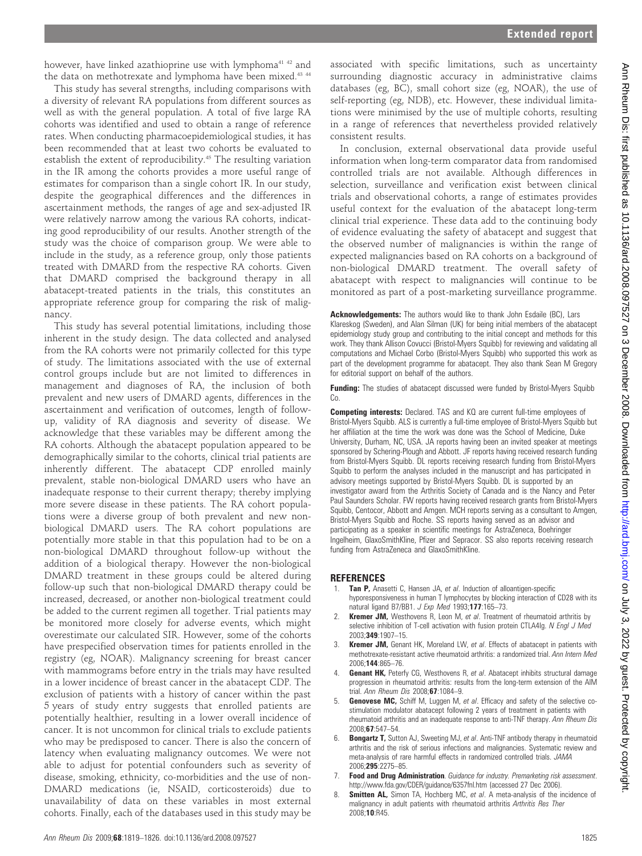associated with specific limitations, such as uncertainty surrounding diagnostic accuracy in administrative claims databases (eg, BC), small cohort size (eg, NOAR), the use of self-reporting (eg, NDB), etc. However, these individual limitations were minimised by the use of multiple cohorts, resulting in a range of references that nevertheless provided relatively consistent results.

In conclusion, external observational data provide useful information when long-term comparator data from randomised controlled trials are not available. Although differences in selection, surveillance and verification exist between clinical trials and observational cohorts, a range of estimates provides useful context for the evaluation of the abatacept long-term clinical trial experience. These data add to the continuing body of evidence evaluating the safety of abatacept and suggest that the observed number of malignancies is within the range of expected malignancies based on RA cohorts on a background of non-biological DMARD treatment. The overall safety of abatacept with respect to malignancies will continue to be monitored as part of a post-marketing surveillance programme.

Acknowledgements: The authors would like to thank John Esdaile (BC), Lars Klareskog (Sweden), and Alan Silman (UK) for being initial members of the abatacept epidemiology study group and contributing to the initial concept and methods for this work. They thank Allison Covucci (Bristol-Myers Squibb) for reviewing and validating all computations and Michael Corbo (Bristol-Myers Squibb) who supported this work as part of the development programme for abatacept. They also thank Sean M Gregory for editorial support on behalf of the authors.

Funding: The studies of abatacept discussed were funded by Bristol-Myers Squibb Co.

Competing interests: Declared. TAS and KQ are current full-time employees of Bristol-Myers Squibb. ALS is currently a full-time employee of Bristol-Myers Squibb but her affiliation at the time the work was done was the School of Medicine, Duke University, Durham, NC, USA. JA reports having been an invited speaker at meetings sponsored by Schering-Plough and Abbott. JF reports having received research funding from Bristol-Myers Squibb. DL reports receiving research funding from Bristol-Myers Squibb to perform the analyses included in the manuscript and has participated in advisory meetings supported by Bristol-Myers Squibb. DL is supported by an investigator award from the Arthritis Society of Canada and is the Nancy and Peter Paul Saunders Scholar. FW reports having received research grants from Bristol-Myers Squibb, Centocor, Abbott and Amgen. MCH reports serving as a consultant to Amgen, Bristol-Myers Squibb and Roche. SS reports having served as an advisor and participating as a speaker in scientific meetings for AstraZeneca, Boehringer Ingelheim, GlaxoSmithKline, Pfizer and Sepracor. SS also reports receiving research funding from AstraZeneca and GlaxoSmithKline.

## REFERENCES

- Tan P, Anasetti C, Hansen JA, et al. Induction of alloantigen-specific hyporesponsiveness in human T lymphocytes by blocking interaction of CD28 with its natural ligand B7/BB1. J Exp Med 1993;177:165–73.
- Kremer JM, Westhovens R, Leon M, et al. Treatment of rheumatoid arthritis by selective inhibition of T-cell activation with fusion protein CTLA4Ig. N Engl J Med 2003;349:1907–15.
- 3. **Kremer JM,** Genant HK, Moreland LW, et al. Effects of abatacept in patients with methotrexate-resistant active rheumatoid arthritis: a randomized trial. Ann Intern Med 2006;144:865–76.
- **Genant HK,** Peterfy CG, Westhovens R, et al. Abatacept inhibits structural damage progression in rheumatoid arthritis: results from the long-term extension of the AIM trial. Ann Rheum Dis 2008:67:1084-9.
- Genovese MC, Schiff M, Luggen M, et al. Efficacy and safety of the selective costimulation modulator abatacept following 2 years of treatment in patients with rheumatoid arthritis and an inadequate response to anti-TNF therapy. Ann Rheum Dis 2008;67:547–54.
- **Bongartz T,** Sutton AJ, Sweeting MJ, et al. Anti-TNF antibody therapy in rheumatoid arthritis and the risk of serious infections and malignancies. Systematic review and meta-analysis of rare harmful effects in randomized controlled trials. JAMA 2006;295:2275–85.
- Food and Drug Administration. Guidance for industry. Premarketing risk assessment. http://www.fda.gov/CDER/guidance/6357fnl.htm (accessed 27 Dec 2006).
- **Smitten AL,** Simon TA, Hochberg MC, et al. A meta-analysis of the incidence of malignancy in adult patients with rheumatoid arthritis Arthritis Res Ther 2008;10:R45.

however, have linked azathioprine use with lymphoma<sup>41 42</sup> and the data on methotrexate and lymphoma have been mixed.<sup>43 44</sup>

This study has several strengths, including comparisons with a diversity of relevant RA populations from different sources as well as with the general population. A total of five large RA cohorts was identified and used to obtain a range of reference rates. When conducting pharmacoepidemiological studies, it has been recommended that at least two cohorts be evaluated to establish the extent of reproducibility.<sup>45</sup> The resulting variation in the IR among the cohorts provides a more useful range of estimates for comparison than a single cohort IR. In our study, despite the geographical differences and the differences in ascertainment methods, the ranges of age and sex-adjusted IR were relatively narrow among the various RA cohorts, indicating good reproducibility of our results. Another strength of the study was the choice of comparison group. We were able to include in the study, as a reference group, only those patients treated with DMARD from the respective RA cohorts. Given that DMARD comprised the background therapy in all abatacept-treated patients in the trials, this constitutes an appropriate reference group for comparing the risk of malignancy.

This study has several potential limitations, including those inherent in the study design. The data collected and analysed from the RA cohorts were not primarily collected for this type of study. The limitations associated with the use of external control groups include but are not limited to differences in management and diagnoses of RA, the inclusion of both prevalent and new users of DMARD agents, differences in the ascertainment and verification of outcomes, length of followup, validity of RA diagnosis and severity of disease. We acknowledge that these variables may be different among the RA cohorts. Although the abatacept population appeared to be demographically similar to the cohorts, clinical trial patients are inherently different. The abatacept CDP enrolled mainly prevalent, stable non-biological DMARD users who have an inadequate response to their current therapy; thereby implying more severe disease in these patients. The RA cohort populations were a diverse group of both prevalent and new nonbiological DMARD users. The RA cohort populations are potentially more stable in that this population had to be on a non-biological DMARD throughout follow-up without the addition of a biological therapy. However the non-biological DMARD treatment in these groups could be altered during follow-up such that non-biological DMARD therapy could be increased, decreased, or another non-biological treatment could be added to the current regimen all together. Trial patients may be monitored more closely for adverse events, which might overestimate our calculated SIR. However, some of the cohorts have prespecified observation times for patients enrolled in the registry (eg, NOAR). Malignancy screening for breast cancer with mammograms before entry in the trials may have resulted in a lower incidence of breast cancer in the abatacept CDP. The exclusion of patients with a history of cancer within the past 5 years of study entry suggests that enrolled patients are potentially healthier, resulting in a lower overall incidence of cancer. It is not uncommon for clinical trials to exclude patients who may be predisposed to cancer. There is also the concern of latency when evaluating malignancy outcomes. We were not able to adjust for potential confounders such as severity of disease, smoking, ethnicity, co-morbidities and the use of non-DMARD medications (ie, NSAID, corticosteroids) due to unavailability of data on these variables in most external cohorts. Finally, each of the databases used in this study may be

Ann Rheum Dis: first published as 10.1136/ard.2008.097527 on 3 December 2008. Downloaded from http://ard.bmj.com/ on July 3, 2022 by guest. Protected by copyright Ann Rheum Dis: first published as 10.1136/ard.2008.097527 on 3 December 2008. Downloaded from http://ard.bm/ mublished as 10.1136/ard.2008.097527 on 3 December 2008.097528. Drotected by copyright.